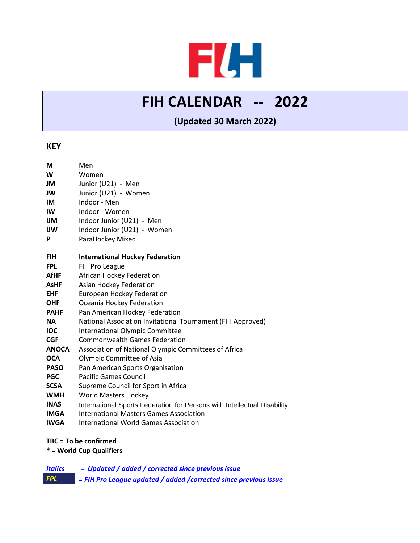# FLH

## **FIH CALENDAR -- 2022**

### **(Updated 30 March 2022)**

#### **KEY**

| M            | Men                                                                      |
|--------------|--------------------------------------------------------------------------|
| W            | Women                                                                    |
| JM           | Junior (U21) - Men                                                       |
| JW           | Junior (U21) - Women                                                     |
| IM           | Indoor - Men                                                             |
| IW           | Indoor - Women                                                           |
| IJМ          | Indoor Junior (U21) - Men                                                |
| IJW          | Indoor Junior (U21) - Women                                              |
| P            | ParaHockey Mixed                                                         |
| <b>FIH</b>   | <b>International Hockey Federation</b>                                   |
| <b>FPL</b>   | FIH Pro League                                                           |
| <b>AfHF</b>  | African Hockey Federation                                                |
| <b>AsHF</b>  | <b>Asian Hockey Federation</b>                                           |
| <b>EHF</b>   | <b>European Hockey Federation</b>                                        |
| <b>OHF</b>   | Oceania Hockey Federation                                                |
| <b>PAHF</b>  | Pan American Hockey Federation                                           |
| <b>NA</b>    | National Association Invitational Tournament (FIH Approved)              |
| <b>IOC</b>   | <b>International Olympic Committee</b>                                   |
| <b>CGF</b>   | <b>Commonwealth Games Federation</b>                                     |
| <b>ANOCA</b> | Association of National Olympic Committees of Africa                     |
| <b>OCA</b>   | Olympic Committee of Asia                                                |
| <b>PASO</b>  | Pan American Sports Organisation                                         |
| <b>PGC</b>   | <b>Pacific Games Council</b>                                             |
| <b>SCSA</b>  | Supreme Council for Sport in Africa                                      |
| <b>WMH</b>   | <b>World Masters Hockey</b>                                              |
| <b>INAS</b>  | International Sports Federation for Persons with Intellectual Disability |
| <b>IMGA</b>  | <b>International Masters Games Association</b>                           |
| <b>IWGA</b>  | <b>International World Games Association</b>                             |

#### **TBC = To be confirmed**

**\* = World Cup Qualifiers**

*Italics = Updated / added / corrected since previous issue FPL = FIH Pro League updated / added /corrected since previous issue*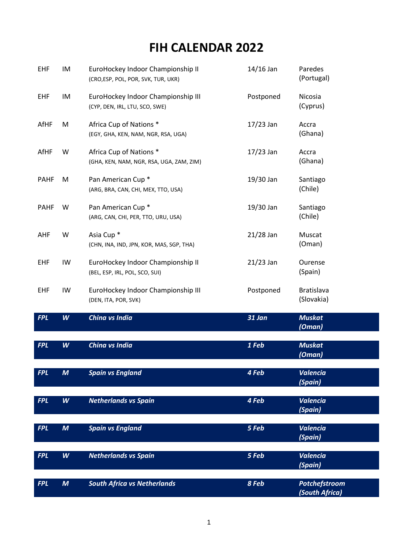## **FIH CALENDAR 2022**

| EHF         | IM               | EuroHockey Indoor Championship II<br>(CRO, ESP, POL, POR, SVK, TUR, UKR) | 14/16 Jan   | Paredes<br>(Portugal)           |
|-------------|------------------|--------------------------------------------------------------------------|-------------|---------------------------------|
| <b>EHF</b>  | IM               | EuroHockey Indoor Championship III<br>(CYP, DEN, IRL, LTU, SCO, SWE)     | Postponed   | Nicosia<br>(Cyprus)             |
| AfHF        | M                | Africa Cup of Nations *<br>(EGY, GHA, KEN, NAM, NGR, RSA, UGA)           | $17/23$ Jan | Accra<br>(Ghana)                |
| AfHF        | W                | Africa Cup of Nations *<br>(GHA, KEN, NAM, NGR, RSA, UGA, ZAM, ZIM)      | $17/23$ Jan | Accra<br>(Ghana)                |
| <b>PAHF</b> | M                | Pan American Cup <sup>*</sup><br>(ARG, BRA, CAN, CHI, MEX, TTO, USA)     | 19/30 Jan   | Santiago<br>(Chile)             |
| <b>PAHF</b> | W                | Pan American Cup <sup>*</sup><br>(ARG, CAN, CHI, PER, TTO, URU, USA)     | 19/30 Jan   | Santiago<br>(Chile)             |
| AHF         | W                | Asia Cup <sup>*</sup><br>(CHN, INA, IND, JPN, KOR, MAS, SGP, THA)        | $21/28$ Jan | Muscat<br>(Oman)                |
| <b>EHF</b>  | IW               | EuroHockey Indoor Championship II<br>(BEL, ESP, IRL, POL, SCO, SUI)      | $21/23$ Jan | Ourense<br>(Spain)              |
| <b>EHF</b>  | IW               | EuroHockey Indoor Championship III<br>(DEN, ITA, POR, SVK)               | Postponed   | <b>Bratislava</b><br>(Slovakia) |
| <b>FPL</b>  | W                | China vs India                                                           | 31 Jan      | <b>Muskat</b><br>(Oman)         |
| <b>FPL</b>  | W                | China vs India                                                           | 1 Feb       | <b>Muskat</b><br>(Oman)         |
| <b>FPL</b>  | $\boldsymbol{M}$ | <b>Spain vs England</b>                                                  | 4 Feb       | <b>Valencia</b><br>(Spain)      |
| <b>FPL</b>  | W                | <b>Netherlands vs Spain</b>                                              | 4 Feb       | <b>Valencia</b><br>(Spain)      |
| <b>FPL</b>  | $\boldsymbol{M}$ | <b>Spain vs England</b>                                                  | 5 Feb       | <b>Valencia</b><br>(Spain)      |
| <b>FPL</b>  | W                | <b>Netherlands vs Spain</b>                                              | 5 Feb       | <b>Valencia</b><br>(Spain)      |
| <b>FPL</b>  |                  | <b>South Africa vs Netherlands</b>                                       | 8 Feb       |                                 |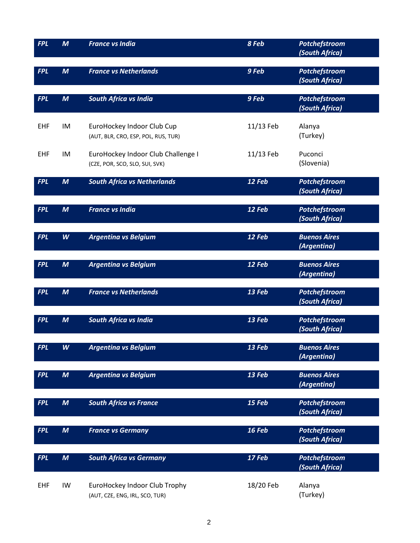| <b>FPL</b> | $\boldsymbol{M}$ | <b>France vs India</b>                                               | 8 Feb     | Potchefstroom<br>(South Africa)        |
|------------|------------------|----------------------------------------------------------------------|-----------|----------------------------------------|
| <b>FPL</b> | $\boldsymbol{M}$ | <b>France vs Netherlands</b>                                         | 9 Feb     | Potchefstroom<br>(South Africa)        |
| <b>FPL</b> | $\boldsymbol{M}$ | <b>South Africa vs India</b>                                         | 9 Feb     | Potchefstroom<br>(South Africa)        |
| <b>EHF</b> | IM               | EuroHockey Indoor Club Cup<br>(AUT, BLR, CRO, ESP, POL, RUS, TUR)    | 11/13 Feb | Alanya<br>(Turkey)                     |
| <b>EHF</b> | IM               | EuroHockey Indoor Club Challenge I<br>(CZE, POR, SCO, SLO, SUI, SVK) | 11/13 Feb | Puconci<br>(Slovenia)                  |
| <b>FPL</b> | $\boldsymbol{M}$ | <b>South Africa vs Netherlands</b>                                   | 12 Feb    | Potchefstroom<br>(South Africa)        |
| <b>FPL</b> | $\boldsymbol{M}$ | <b>France vs India</b>                                               | 12 Feb    | <b>Potchefstroom</b><br>(South Africa) |
| <b>FPL</b> | W                | <b>Argentina vs Belgium</b>                                          | 12 Feb    | <b>Buenos Aires</b><br>(Argentina)     |
| <b>FPL</b> | $\boldsymbol{M}$ | <b>Argentina vs Belgium</b>                                          | 12 Feb    | <b>Buenos Aires</b><br>(Argentina)     |
| <b>FPL</b> | $\boldsymbol{M}$ | <b>France vs Netherlands</b>                                         | 13 Feb    | Potchefstroom<br>(South Africa)        |
| <b>FPL</b> | $\boldsymbol{M}$ | <b>South Africa vs India</b>                                         | 13 Feb    | Potchefstroom<br>(South Africa)        |
| <b>FPL</b> | W                | <b>Argentina vs Belgium</b>                                          | 13 Feb    | <b>Buenos Aires</b><br>(Argentina)     |
| <b>FPL</b> | $\boldsymbol{M}$ | <b>Argentina vs Belgium</b>                                          | 13 Feb    | <b>Buenos Aires</b><br>(Argentina)     |
| <b>FPL</b> | $\boldsymbol{M}$ | <b>South Africa vs France</b>                                        | 15 Feb    | Potchefstroom<br>(South Africa)        |
| <b>FPL</b> | $\boldsymbol{M}$ | <b>France vs Germany</b>                                             | 16 Feb    | Potchefstroom<br>(South Africa)        |
| <b>FPL</b> | $\boldsymbol{M}$ | <b>South Africa vs Germany</b>                                       | 17 Feb    | Potchefstroom<br>(South Africa)        |
| <b>EHF</b> | IW               | EuroHockey Indoor Club Trophy<br>(AUT, CZE, ENG, IRL, SCO, TUR)      | 18/20 Feb | Alanya<br>(Turkey)                     |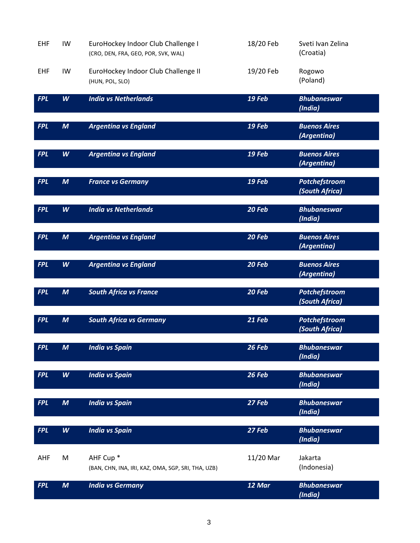| <b>EHF</b> | IW               | EuroHockey Indoor Club Challenge I<br>(CRO, DEN, FRA, GEO, POR, SVK, WAL)  | 18/20 Feb | Sveti Ivan Zelina<br>(Croatia)     |
|------------|------------------|----------------------------------------------------------------------------|-----------|------------------------------------|
| <b>EHF</b> | IW               | EuroHockey Indoor Club Challenge II<br>(HUN, POL, SLO)                     | 19/20 Feb | Rogowo<br>(Poland)                 |
| <b>FPL</b> | W                | <b>India vs Netherlands</b>                                                | 19 Feb    | <b>Bhubaneswar</b><br>(India)      |
| <b>FPL</b> | $\boldsymbol{M}$ | <b>Argentina vs England</b>                                                | 19 Feb    | <b>Buenos Aires</b><br>(Argentina) |
| <b>FPL</b> | W                | <b>Argentina vs England</b>                                                | 19 Feb    | <b>Buenos Aires</b><br>(Argentina) |
| <b>FPL</b> | $\boldsymbol{M}$ | <b>France vs Germany</b>                                                   | 19 Feb    | Potchefstroom<br>(South Africa)    |
| <b>FPL</b> | W                | <b>India vs Netherlands</b>                                                | 20 Feb    | <b>Bhubaneswar</b><br>(India)      |
| <b>FPL</b> | $\boldsymbol{M}$ | <b>Argentina vs England</b>                                                | 20 Feb    | <b>Buenos Aires</b><br>(Argentina) |
| <b>FPL</b> | W                | <b>Argentina vs England</b>                                                | 20 Feb    | <b>Buenos Aires</b><br>(Argentina) |
| <b>FPL</b> | $\boldsymbol{M}$ | <b>South Africa vs France</b>                                              | 20 Feb    | Potchefstroom<br>(South Africa)    |
| <b>FPL</b> | $\boldsymbol{M}$ | <b>South Africa vs Germany</b>                                             | 21 Feb    | Potchefstroom<br>(South Africa)    |
| <b>FPL</b> | $\boldsymbol{M}$ | <b>India vs Spain</b>                                                      | 26 Feb    | <b>Bhubaneswar</b><br>(India)      |
| <b>FPL</b> | W                | <b>India vs Spain</b>                                                      | 26 Feb    | <b>Bhubaneswar</b><br>(India)      |
| <b>FPL</b> | $\boldsymbol{M}$ | <b>India vs Spain</b>                                                      | 27 Feb    | <b>Bhubaneswar</b><br>(India)      |
| <b>FPL</b> | W                | <b>India vs Spain</b>                                                      | 27 Feb    | <b>Bhubaneswar</b><br>(India)      |
| AHF        | M                | AHF Cup <sup>*</sup><br>(BAN, CHN, INA, IRI, KAZ, OMA, SGP, SRI, THA, UZB) | 11/20 Mar | Jakarta<br>(Indonesia)             |
| <b>FPL</b> | $\boldsymbol{M}$ | <b>India vs Germany</b>                                                    | 12 Mar    | <b>Bhubaneswar</b><br>(India)      |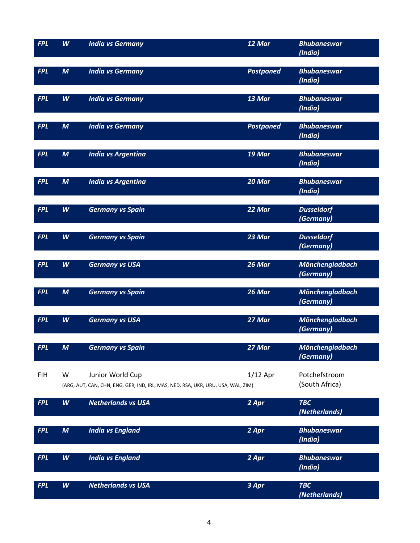| <b>FPL</b> | W                | <b>India vs Germany</b>                                                          | $12$ Mar         | <b>Bhubaneswar</b><br>(India)       |
|------------|------------------|----------------------------------------------------------------------------------|------------------|-------------------------------------|
|            |                  |                                                                                  |                  |                                     |
| <b>FPL</b> | $\boldsymbol{M}$ | <b>India vs Germany</b>                                                          | <b>Postponed</b> | <b>Bhubaneswar</b>                  |
|            |                  |                                                                                  |                  | (India)                             |
|            |                  |                                                                                  |                  |                                     |
| <b>FPL</b> | W                | <b>India vs Germany</b>                                                          | 13 Mar           | <b>Bhubaneswar</b>                  |
|            |                  |                                                                                  |                  | (India)                             |
| <b>FPL</b> | $\boldsymbol{M}$ | <b>India vs Germany</b>                                                          | <b>Postponed</b> | <b>Bhubaneswar</b>                  |
|            |                  |                                                                                  |                  | (India)                             |
|            |                  |                                                                                  |                  |                                     |
| <b>FPL</b> | $\boldsymbol{M}$ | <b>India vs Argentina</b>                                                        | 19 Mar           | <b>Bhubaneswar</b>                  |
|            |                  |                                                                                  |                  | (India)                             |
| <b>FPL</b> | $\boldsymbol{M}$ | <b>India vs Argentina</b>                                                        | 20 Mar           | <b>Bhubaneswar</b>                  |
|            |                  |                                                                                  |                  | (India)                             |
|            |                  |                                                                                  |                  |                                     |
| <b>FPL</b> | W                | <b>Germany vs Spain</b>                                                          | 22 Mar           | <b>Dusseldorf</b>                   |
|            |                  |                                                                                  |                  | (Germany)                           |
| <b>FPL</b> | W                | <b>Germany vs Spain</b>                                                          | 23 Mar           | <b>Dusseldorf</b>                   |
|            |                  |                                                                                  |                  | (Germany)                           |
|            |                  |                                                                                  |                  |                                     |
| <b>FPL</b> | W                | <b>Germany vs USA</b>                                                            | 26 Mar           | Mönchengladbach                     |
|            |                  |                                                                                  |                  | (Germany)                           |
| <b>FPL</b> | $\boldsymbol{M}$ | <b>Germany vs Spain</b>                                                          | 26 Mar           | Mönchengladbach                     |
|            |                  |                                                                                  |                  | (Germany)                           |
|            |                  |                                                                                  |                  |                                     |
| <b>FPL</b> | W                | <b>Germany vs USA</b>                                                            | 27 Mar           | Mönchengladbach                     |
|            |                  |                                                                                  |                  | (Germany)                           |
|            |                  |                                                                                  |                  |                                     |
| <b>FPL</b> | M                | <b>Germany vs Spain</b>                                                          | 27 Mar           | <b>Mönchengladbach</b><br>(Germany) |
|            |                  |                                                                                  |                  |                                     |
| <b>FIH</b> | W                | Junior World Cup                                                                 | $1/12$ Apr       | Potchefstroom                       |
|            |                  | (ARG, AUT, CAN, CHN, ENG, GER, IND, IRL, MAS, NED, RSA, UKR, URU, USA, WAL, ZIM) |                  | (South Africa)                      |
|            |                  |                                                                                  |                  |                                     |
| <b>FPL</b> | W                | <b>Netherlands vs USA</b>                                                        | 2 Apr            | <b>TBC</b><br>(Netherlands)         |
|            |                  |                                                                                  |                  |                                     |
| <b>FPL</b> | $\boldsymbol{M}$ | <b>India vs England</b>                                                          | 2 Apr            | <b>Bhubaneswar</b>                  |
|            |                  |                                                                                  |                  | (India)                             |
|            |                  |                                                                                  |                  |                                     |
| <b>FPL</b> | W                | <b>India vs England</b>                                                          | 2 Apr            | <b>Bhubaneswar</b>                  |
|            |                  |                                                                                  |                  | (India)                             |
| <b>FPL</b> | W                | <b>Netherlands vs USA</b>                                                        | 3 Apr            | <b>TBC</b>                          |
|            |                  |                                                                                  |                  | (Netherlands)                       |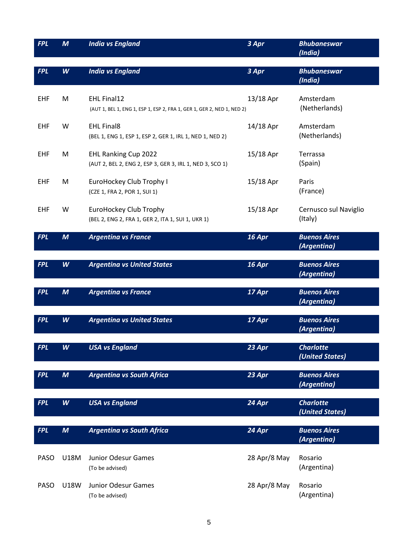| <b>FPL</b> | $\boldsymbol{M}$ | <b>India vs England</b>                                                                      | 3 Apr        | <b>Bhubaneswar</b><br>(India)       |
|------------|------------------|----------------------------------------------------------------------------------------------|--------------|-------------------------------------|
| <b>FPL</b> | W                | <b>India vs England</b>                                                                      | 3 Apr        | <b>Bhubaneswar</b><br>(India)       |
| <b>EHF</b> | M                | <b>EHL Final12</b><br>(AUT 1, BEL 1, ENG 1, ESP 1, ESP 2, FRA 1, GER 1, GER 2, NED 1, NED 2) | 13/18 Apr    | Amsterdam<br>(Netherlands)          |
| <b>EHF</b> | W                | <b>EHL Final8</b><br>(BEL 1, ENG 1, ESP 1, ESP 2, GER 1, IRL 1, NED 1, NED 2)                | 14/18 Apr    | Amsterdam<br>(Netherlands)          |
| <b>EHF</b> | M                | EHL Ranking Cup 2022<br>(AUT 2, BEL 2, ENG 2, ESP 3, GER 3, IRL 1, NED 3, SCO 1)             | 15/18 Apr    | Terrassa<br>(Spain)                 |
| <b>EHF</b> | M                | EuroHockey Club Trophy I<br>(CZE 1, FRA 2, POR 1, SUI 1)                                     | 15/18 Apr    | Paris<br>(France)                   |
| <b>EHF</b> | W                | EuroHockey Club Trophy<br>(BEL 2, ENG 2, FRA 1, GER 2, ITA 1, SUI 1, UKR 1)                  | 15/18 Apr    | Cernusco sul Naviglio<br>(Italy)    |
| <b>FPL</b> | $\boldsymbol{M}$ | <b>Argentina vs France</b>                                                                   | 16 Apr       | <b>Buenos Aires</b><br>(Argentina)  |
| <b>FPL</b> | W                | <b>Argentina vs United States</b>                                                            | 16 Apr       | <b>Buenos Aires</b><br>(Argentina)  |
| <b>FPL</b> | $\boldsymbol{M}$ | <b>Argentina vs France</b>                                                                   | 17 Apr       | <b>Buenos Aires</b><br>(Argentina)  |
| <b>FPL</b> | W                | <b>Argentina vs United States</b>                                                            | 17 Apr       | <b>Buenos Aires</b><br>(Argentina)  |
| <b>FPL</b> | W                | USA vs England                                                                               | 23 Apr       | <b>Charlotte</b><br>(United States) |
| <b>FPL</b> | $\boldsymbol{M}$ | <b>Argentina vs South Africa</b>                                                             | 23 Apr       | <b>Buenos Aires</b><br>(Argentina)  |
| <b>FPL</b> | W                | <b>USA vs England</b>                                                                        | 24 Apr       | <b>Charlotte</b><br>(United States) |
| <b>FPL</b> | $\boldsymbol{M}$ | <b>Argentina vs South Africa</b>                                                             | 24 Apr       | <b>Buenos Aires</b><br>(Argentina)  |
| PASO       | U18M             | Junior Odesur Games<br>(To be advised)                                                       | 28 Apr/8 May | Rosario<br>(Argentina)              |
| PASO       | <b>U18W</b>      | Junior Odesur Games<br>(To be advised)                                                       | 28 Apr/8 May | Rosario<br>(Argentina)              |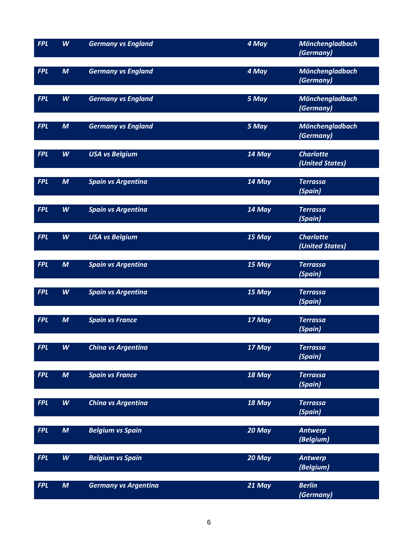| <b>FPL</b> | W                | <b>Germany vs England</b>   | 4 May  | <b>Mönchengladbach</b><br>(Germany) |
|------------|------------------|-----------------------------|--------|-------------------------------------|
| <b>FPL</b> | $\boldsymbol{M}$ | <b>Germany vs England</b>   | 4 May  | Mönchengladbach<br>(Germany)        |
| <b>FPL</b> | W                | <b>Germany vs England</b>   | 5 May  | Mönchengladbach<br>(Germany)        |
| <b>FPL</b> | $\boldsymbol{M}$ | <b>Germany vs England</b>   | 5 May  | Mönchengladbach<br>(Germany)        |
| <b>FPL</b> | W                | <b>USA vs Belgium</b>       | 14 May | <b>Charlotte</b><br>(United States) |
| <b>FPL</b> | $\boldsymbol{M}$ | <b>Spain vs Argentina</b>   | 14 May | <b>Terrassa</b><br>(Spain)          |
| <b>FPL</b> | W                | <b>Spain vs Argentina</b>   | 14 May | <b>Terrassa</b><br>(Spain)          |
| <b>FPL</b> | W                | <b>USA vs Belgium</b>       | 15 May | <b>Charlotte</b><br>(United States) |
| <b>FPL</b> | $\boldsymbol{M}$ | <b>Spain vs Argentina</b>   | 15 May | <b>Terrassa</b><br>(Spain)          |
| <b>FPL</b> | W                | <b>Spain vs Argentina</b>   | 15 May | <b>Terrassa</b><br>(Spain)          |
| <b>FPL</b> | $\boldsymbol{M}$ | <b>Spain vs France</b>      | 17 May | <b>Terrassa</b><br>(Spain)          |
| <b>FPL</b> | W                | China vs Argentina          | 17 May | Terrassa<br>(Spain)                 |
| <b>FPL</b> | $\boldsymbol{M}$ | <b>Spain vs France</b>      | 18 May | <b>Terrassa</b><br>(Spain)          |
| <b>FPL</b> | W                | China vs Argentina          | 18 May | <b>Terrassa</b><br>(Spain)          |
| <b>FPL</b> | $\boldsymbol{M}$ | <b>Belgium vs Spain</b>     | 20 May | <b>Antwerp</b><br>(Belgium)         |
| <b>FPL</b> | W                | <b>Belgium vs Spain</b>     | 20 May | <b>Antwerp</b><br>(Belgium)         |
| <b>FPL</b> | $\boldsymbol{M}$ | <b>Germany vs Argentina</b> | 21 May | <b>Berlin</b><br>(Germany)          |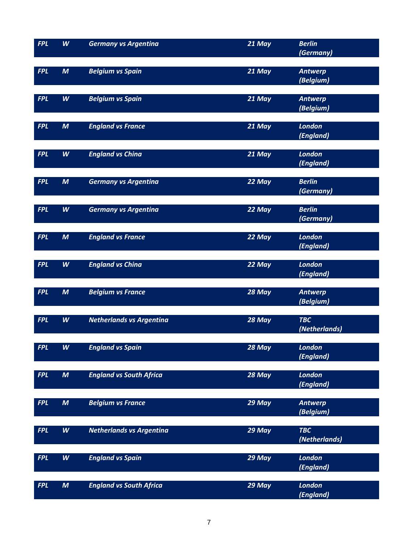| <b>FPL</b> | W                | <b>Germany vs Argentina</b>     | 21 May | <b>Berlin</b>              |
|------------|------------------|---------------------------------|--------|----------------------------|
|            |                  |                                 |        | (Germany)                  |
| <b>FPL</b> | $\boldsymbol{M}$ | <b>Belgium vs Spain</b>         | 21 May | <b>Antwerp</b>             |
|            |                  |                                 |        | (Belgium)                  |
|            |                  |                                 |        |                            |
| <b>FPL</b> | W                | <b>Belgium vs Spain</b>         | 21 May | <b>Antwerp</b>             |
|            |                  |                                 |        | (Belgium)                  |
|            |                  |                                 |        |                            |
| <b>FPL</b> | $\boldsymbol{M}$ | <b>England vs France</b>        | 21 May | <b>London</b><br>(England) |
|            |                  |                                 |        |                            |
| <b>FPL</b> | W                | <b>England vs China</b>         | 21 May | <b>London</b>              |
|            |                  |                                 |        | (England)                  |
|            |                  |                                 |        |                            |
| <b>FPL</b> | $\boldsymbol{M}$ | <b>Germany vs Argentina</b>     | 22 May | <b>Berlin</b>              |
|            |                  |                                 |        | (Germany)                  |
| <b>FPL</b> | W                | <b>Germany vs Argentina</b>     | 22 May | <b>Berlin</b>              |
|            |                  |                                 |        | (Germany)                  |
|            |                  |                                 |        |                            |
| <b>FPL</b> | $\boldsymbol{M}$ | <b>England vs France</b>        | 22 May | <b>London</b>              |
|            |                  |                                 |        | (England)                  |
|            |                  |                                 |        |                            |
| <b>FPL</b> | W                | <b>England vs China</b>         | 22 May | <b>London</b><br>(England) |
|            |                  |                                 |        |                            |
| <b>FPL</b> | $\boldsymbol{M}$ | <b>Belgium vs France</b>        | 28 May | <b>Antwerp</b>             |
|            |                  |                                 |        | (Belgium)                  |
|            |                  |                                 |        |                            |
| <b>FPL</b> | W                | <b>Netherlands vs Argentina</b> | 28 May | <b>TBC</b>                 |
|            |                  |                                 |        | (Netherlands)              |
| <b>FPL</b> | W                | <b>England vs Spain</b>         | 28 May | London                     |
|            |                  |                                 |        | (England)                  |
|            |                  |                                 |        |                            |
| <b>FPL</b> | $\boldsymbol{M}$ | <b>England vs South Africa</b>  | 28 May | <b>London</b>              |
|            |                  |                                 |        | (England)                  |
| <b>FPL</b> | $\boldsymbol{M}$ | <b>Belgium vs France</b>        | 29 May | <b>Antwerp</b>             |
|            |                  |                                 |        | (Belgium)                  |
|            |                  |                                 |        |                            |
| <b>FPL</b> | W                | <b>Netherlands vs Argentina</b> | 29 May | <b>TBC</b>                 |
|            |                  |                                 |        | (Netherlands)              |
|            |                  |                                 |        |                            |
| <b>FPL</b> | W                | <b>England vs Spain</b>         | 29 May | <b>London</b><br>(England) |
|            |                  |                                 |        |                            |
| <b>FPL</b> | $\boldsymbol{M}$ | <b>England vs South Africa</b>  | 29 May | <b>London</b>              |
|            |                  |                                 |        | (England)                  |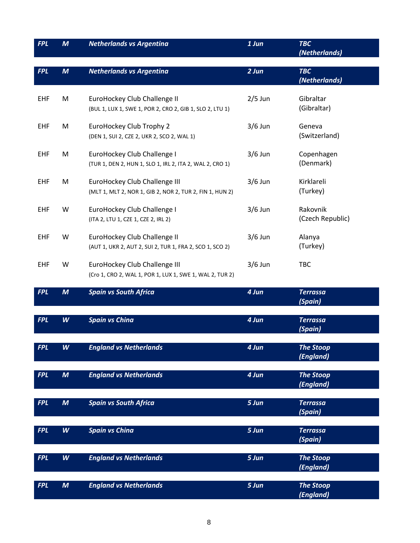| <b>FPL</b> | $\boldsymbol{M}$ | <b>Netherlands vs Argentina</b>                                                           | $1$ Jun   | <b>TBC</b><br>(Netherlands)   |
|------------|------------------|-------------------------------------------------------------------------------------------|-----------|-------------------------------|
| <b>FPL</b> | $\boldsymbol{M}$ | <b>Netherlands vs Argentina</b>                                                           | $2$ Jun   | <b>TBC</b><br>(Netherlands)   |
| <b>EHF</b> | M                | EuroHockey Club Challenge II<br>(BUL 1, LUX 1, SWE 1, POR 2, CRO 2, GIB 1, SLO 2, LTU 1)  | $2/5$ Jun | Gibraltar<br>(Gibraltar)      |
| EHF        | M                | EuroHockey Club Trophy 2<br>(DEN 1, SUI 2, CZE 2, UKR 2, SCO 2, WAL 1)                    | $3/6$ Jun | Geneva<br>(Switzerland)       |
| <b>EHF</b> | M                | EuroHockey Club Challenge I<br>(TUR 1, DEN 2, HUN 1, SLO 1, IRL 2, ITA 2, WAL 2, CRO 1)   | $3/6$ Jun | Copenhagen<br>(Denmark)       |
| <b>EHF</b> | M                | EuroHockey Club Challenge III<br>(MLT 1, MLT 2, NOR 1, GIB 2, NOR 2, TUR 2, FIN 1, HUN 2) | $3/6$ Jun | Kirklareli<br>(Turkey)        |
| <b>EHF</b> | W                | EuroHockey Club Challenge I<br>(ITA 2, LTU 1, CZE 1, CZE 2, IRL 2)                        | $3/6$ Jun | Rakovnik<br>(Czech Republic)  |
| <b>EHF</b> | W                | EuroHockey Club Challenge II<br>(AUT 1, UKR 2, AUT 2, SUI 2, TUR 1, FRA 2, SCO 1, SCO 2)  | $3/6$ Jun | Alanya<br>(Turkey)            |
| <b>EHF</b> | W                | EuroHockey Club Challenge III<br>(Cro 1, CRO 2, WAL 1, POR 1, LUX 1, SWE 1, WAL 2, TUR 2) | $3/6$ Jun | <b>TBC</b>                    |
| <b>FPL</b> | $\boldsymbol{M}$ | <b>Spain vs South Africa</b>                                                              | 4 Jun     | <b>Terrassa</b><br>(Spain)    |
| <b>FPL</b> | W                | <b>Spain vs China</b>                                                                     | 4 Jun     | <b>Terrassa</b><br>(Spain)    |
| <b>FPL</b> | W                | <b>England vs Netherlands</b>                                                             | 4 Jun     | <b>The Stoop</b><br>(England) |
| <b>FPL</b> | $\boldsymbol{M}$ | <b>England vs Netherlands</b>                                                             | 4 Jun     | <b>The Stoop</b><br>(England) |
| <b>FPL</b> | $\boldsymbol{M}$ | <b>Spain vs South Africa</b>                                                              | 5 Jun     | <b>Terrassa</b><br>(Spain)    |
| <b>FPL</b> | W                | <b>Spain vs China</b>                                                                     | 5 Jun     | <b>Terrassa</b><br>(Spain)    |
| <b>FPL</b> | W                | <b>England vs Netherlands</b>                                                             | 5 Jun     | <b>The Stoop</b><br>(England) |
| <b>FPL</b> | $\boldsymbol{M}$ | <b>England vs Netherlands</b>                                                             | 5 Jun     | <b>The Stoop</b><br>(England) |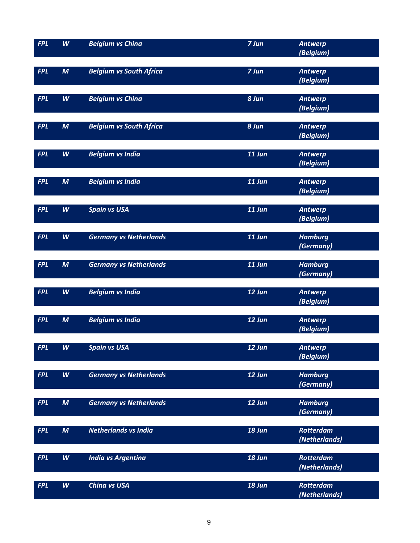| <b>FPL</b> | W                | <b>Belgium vs China</b>        | 7 Jun    | Antwerp          |
|------------|------------------|--------------------------------|----------|------------------|
|            |                  |                                |          | (Belgium)        |
|            |                  |                                |          |                  |
| <b>FPL</b> | $\boldsymbol{M}$ | <b>Belgium vs South Africa</b> | 7 Jun    | <b>Antwerp</b>   |
|            |                  |                                |          | (Belgium)        |
|            |                  |                                |          |                  |
| <b>FPL</b> | W                | <b>Belgium vs China</b>        | $8$ Jun  | Antwerp          |
|            |                  |                                |          | (Belgium)        |
| <b>FPL</b> | $\boldsymbol{M}$ | <b>Belgium vs South Africa</b> | 8 Jun    | <b>Antwerp</b>   |
|            |                  |                                |          | (Belgium)        |
|            |                  |                                |          |                  |
| <b>FPL</b> | W                | <b>Belgium vs India</b>        | 11 Jun   | <b>Antwerp</b>   |
|            |                  |                                |          | (Belgium)        |
|            |                  |                                |          |                  |
| <b>FPL</b> | $\boldsymbol{M}$ | <b>Belgium vs India</b>        | 11 Jun   | <b>Antwerp</b>   |
|            |                  |                                |          | (Belgium)        |
|            |                  |                                |          |                  |
| <b>FPL</b> | W                | <b>Spain vs USA</b>            | $11$ Jun | <b>Antwerp</b>   |
|            |                  |                                |          | (Belgium)        |
|            |                  |                                |          |                  |
| <b>FPL</b> | W                | <b>Germany vs Netherlands</b>  | 11 Jun   | <b>Hamburg</b>   |
|            |                  |                                |          | (Germany)        |
| <b>FPL</b> | $\boldsymbol{M}$ | <b>Germany vs Netherlands</b>  | 11 Jun   | <b>Hamburg</b>   |
|            |                  |                                |          | (Germany)        |
|            |                  |                                |          |                  |
| <b>FPL</b> | W                | <b>Belgium vs India</b>        | 12 Jun   | Antwerp          |
|            |                  |                                |          | (Belgium)        |
|            |                  |                                |          |                  |
| <b>FPL</b> | $\boldsymbol{M}$ | <b>Belgium vs India</b>        | 12 Jun   | <b>Antwerp</b>   |
|            |                  |                                |          | (Belgium)        |
|            |                  |                                |          |                  |
| <b>FPL</b> | W                | <b>Spain vs USA</b>            | 12 Jun   | <b>Antwerp</b>   |
|            |                  |                                |          | (Belgium)        |
|            |                  |                                |          |                  |
| <b>FPL</b> | W                | <b>Germany vs Netherlands</b>  | 12 Jun   | <b>Hamburg</b>   |
|            |                  |                                |          | (Germany)        |
| <b>FPL</b> | $\boldsymbol{M}$ | <b>Germany vs Netherlands</b>  | 12 Jun   | <b>Hamburg</b>   |
|            |                  |                                |          | (Germany)        |
|            |                  |                                |          |                  |
| <b>FPL</b> | $\boldsymbol{M}$ | Netherlands vs India           | 18 Jun   | <b>Rotterdam</b> |
|            |                  |                                |          | (Netherlands)    |
|            |                  |                                |          |                  |
| <b>FPL</b> | W                | <b>India vs Argentina</b>      | 18 Jun   | <b>Rotterdam</b> |
|            |                  |                                |          | (Netherlands)    |
|            |                  |                                |          |                  |
| <b>FPL</b> | W                | <b>China vs USA</b>            | 18 Jun   | <b>Rotterdam</b> |
|            |                  |                                |          | (Netherlands)    |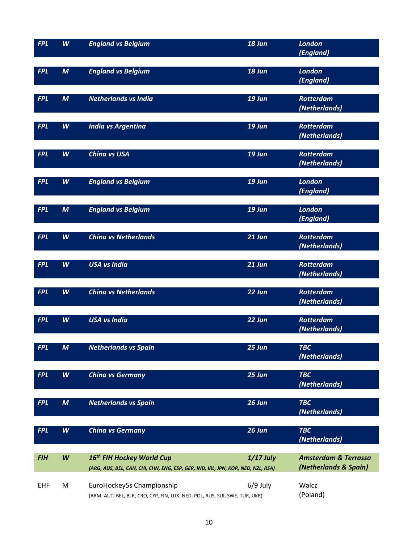| <b>FPL</b> | W                | <b>England vs Belgium</b>                                                        | 18 Jun        | <b>London</b>                   |
|------------|------------------|----------------------------------------------------------------------------------|---------------|---------------------------------|
|            |                  |                                                                                  |               | (England)                       |
| <b>FPL</b> | $\boldsymbol{M}$ | <b>England vs Belgium</b>                                                        | 18 Jun        | <b>London</b>                   |
|            |                  |                                                                                  |               | (England)                       |
|            |                  |                                                                                  |               |                                 |
| <b>FPL</b> | $\boldsymbol{M}$ | <b>Netherlands vs India</b>                                                      | 19 Jun        | <b>Rotterdam</b>                |
|            |                  |                                                                                  |               | (Netherlands)                   |
|            |                  |                                                                                  |               |                                 |
| <b>FPL</b> | W                | <b>India vs Argentina</b>                                                        | 19 Jun        | Rotterdam                       |
|            |                  |                                                                                  |               | (Netherlands)                   |
| <b>FPL</b> | W                | <b>China vs USA</b>                                                              | 19 Jun        | <b>Rotterdam</b>                |
|            |                  |                                                                                  |               | (Netherlands)                   |
|            |                  |                                                                                  |               |                                 |
| <b>FPL</b> | W                | <b>England vs Belgium</b>                                                        | 19 Jun        | <b>London</b>                   |
|            |                  |                                                                                  |               | (England)                       |
|            |                  |                                                                                  |               |                                 |
| <b>FPL</b> | $\boldsymbol{M}$ | <b>England vs Belgium</b>                                                        | <b>19 Jun</b> | <b>London</b><br>(England)      |
|            |                  |                                                                                  |               |                                 |
| <b>FPL</b> | W                | <b>China vs Netherlands</b>                                                      | 21 Jun        | <b>Rotterdam</b>                |
|            |                  |                                                                                  |               | (Netherlands)                   |
|            |                  |                                                                                  |               |                                 |
| <b>FPL</b> | W                | <b>USA vs India</b>                                                              | 21 Jun        | <b>Rotterdam</b>                |
|            |                  |                                                                                  |               | (Netherlands)                   |
| <b>FPL</b> | W                | <b>China vs Netherlands</b>                                                      | 22 Jun        | <b>Rotterdam</b>                |
|            |                  |                                                                                  |               | (Netherlands)                   |
|            |                  |                                                                                  |               |                                 |
| <b>FPL</b> | W                | <b>USA vs India</b>                                                              | 22 Jun        | <b>Rotterdam</b>                |
|            |                  |                                                                                  |               | (Netherlands)                   |
|            |                  |                                                                                  |               |                                 |
| <b>FPL</b> | M                | <b>Netherlands vs Spain</b>                                                      | 25 Jun        | <b>TBC</b>                      |
|            |                  |                                                                                  |               | (Netherlands)                   |
| <b>FPL</b> | W                | <b>China vs Germany</b>                                                          | 25 Jun        | <b>TBC</b>                      |
|            |                  |                                                                                  |               | (Netherlands)                   |
|            |                  |                                                                                  |               |                                 |
| <b>FPL</b> | $\boldsymbol{M}$ | <b>Netherlands vs Spain</b>                                                      | 26 Jun        | <b>TBC</b>                      |
|            |                  |                                                                                  |               | (Netherlands)                   |
| <b>FPL</b> | W                | <b>China vs Germany</b>                                                          | 26 Jun        | <b>TBC</b>                      |
|            |                  |                                                                                  |               | (Netherlands)                   |
|            |                  |                                                                                  |               |                                 |
| <b>FIH</b> | $\pmb{W}$        | 16 <sup>th</sup> FIH Hockey World Cup                                            | $1/17$ July   | <b>Amsterdam &amp; Terrassa</b> |
|            |                  | (ARG, AUS, BEL, CAN, CHI, CHN, ENG, ESP, GER, IND, IRL, JPN, KOR, NED, NZL, RSA) |               | (Netherlands & Spain)           |
|            |                  |                                                                                  |               |                                 |
| <b>EHF</b> | M                | EuroHockey5s Championship                                                        | $6/9$ July    | Walcz                           |
|            |                  | (ARM, AUT, BEL, BLR, CRO, CYP, FIN, LUX, NED, POL, RUS, SUI, SWE, TUR, UKR)      |               | (Poland)                        |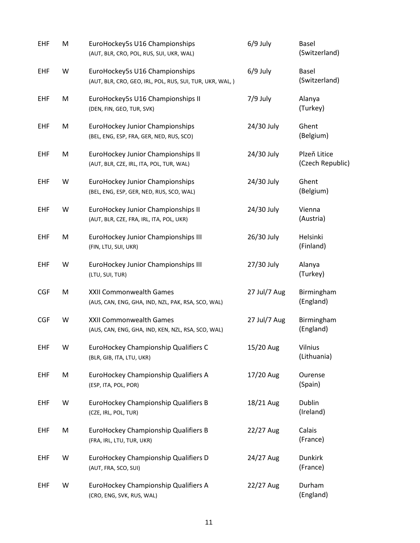| EHF        | M | EuroHockey5s U16 Championships<br>(AUT, BLR, CRO, POL, RUS, SUI, UKR, WAL)                  | $6/9$ July   | Basel<br>(Switzerland)           |
|------------|---|---------------------------------------------------------------------------------------------|--------------|----------------------------------|
| EHF        | W | EuroHockey5s U16 Championships<br>(AUT, BLR, CRO, GEO, IRL, POL, RUS, SUI, TUR, UKR, WAL, ) | $6/9$ July   | Basel<br>(Switzerland)           |
| EHF        | M | EuroHockey5s U16 Championships II<br>(DEN, FIN, GEO, TUR, SVK)                              | $7/9$ July   | Alanya<br>(Turkey)               |
| EHF        | M | <b>EuroHockey Junior Championships</b><br>(BEL, ENG, ESP, FRA, GER, NED, RUS, SCO)          | 24/30 July   | Ghent<br>(Belgium)               |
| EHF        | M | EuroHockey Junior Championships II<br>(AUT, BLR, CZE, IRL, ITA, POL, TUR, WAL)              | 24/30 July   | Plzeň Litice<br>(Czech Republic) |
| EHF        | W | EuroHockey Junior Championships<br>(BEL, ENG, ESP, GER, NED, RUS, SCO, WAL)                 | 24/30 July   | Ghent<br>(Belgium)               |
| EHF        | W | EuroHockey Junior Championships II<br>(AUT, BLR, CZE, FRA, IRL, ITA, POL, UKR)              | 24/30 July   | Vienna<br>(Austria)              |
| EHF        | M | EuroHockey Junior Championships III<br>(FIN, LTU, SUI, UKR)                                 | 26/30 July   | Helsinki<br>(Finland)            |
| EHF        | W | EuroHockey Junior Championships III<br>(LTU, SUI, TUR)                                      | 27/30 July   | Alanya<br>(Turkey)               |
| <b>CGF</b> | M | XXII Commonwealth Games<br>(AUS, CAN, ENG, GHA, IND, NZL, PAK, RSA, SCO, WAL)               | 27 Jul/7 Aug | Birmingham<br>(England)          |
| <b>CGF</b> | W | XXII Commonwealth Games<br>(AUS, CAN, ENG, GHA, IND, KEN, NZL, RSA, SCO, WAL)               | 27 Jul/7 Aug | Birmingham<br>(England)          |
| EHF        | W | EuroHockey Championship Qualifiers C<br>(BLR, GIB, ITA, LTU, UKR)                           | 15/20 Aug    | Vilnius<br>(Lithuania)           |
| <b>EHF</b> | M | EuroHockey Championship Qualifiers A<br>(ESP, ITA, POL, POR)                                | 17/20 Aug    | Ourense<br>(Spain)               |
| <b>EHF</b> | W | EuroHockey Championship Qualifiers B<br>(CZE, IRL, POL, TUR)                                | 18/21 Aug    | <b>Dublin</b><br>(Ireland)       |
| <b>EHF</b> | M | EuroHockey Championship Qualifiers B<br>(FRA, IRL, LTU, TUR, UKR)                           | 22/27 Aug    | Calais<br>(France)               |
| <b>EHF</b> | W | EuroHockey Championship Qualifiers D<br>(AUT, FRA, SCO, SUI)                                | 24/27 Aug    | <b>Dunkirk</b><br>(France)       |
| <b>EHF</b> | W | EuroHockey Championship Qualifiers A<br>(CRO, ENG, SVK, RUS, WAL)                           | 22/27 Aug    | Durham<br>(England)              |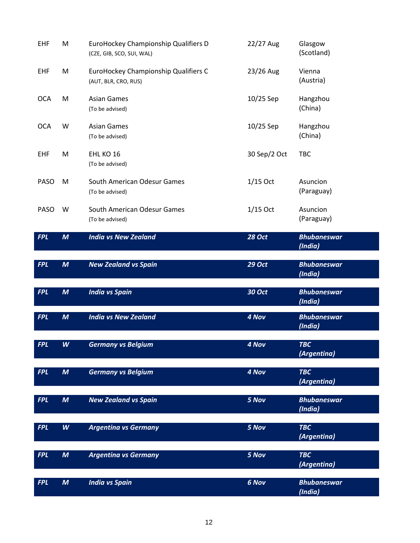| EHF         | M                | EuroHockey Championship Qualifiers D<br>(CZE, GIB, SCO, SUI, WAL) | 22/27 Aug     | Glasgow<br>(Scotland)         |
|-------------|------------------|-------------------------------------------------------------------|---------------|-------------------------------|
| EHF         | M                | EuroHockey Championship Qualifiers C<br>(AUT, BLR, CRO, RUS)      | 23/26 Aug     | Vienna<br>(Austria)           |
| <b>OCA</b>  | M                | <b>Asian Games</b><br>(To be advised)                             | 10/25 Sep     | Hangzhou<br>(China)           |
| <b>OCA</b>  | W                | <b>Asian Games</b><br>(To be advised)                             | 10/25 Sep     | Hangzhou<br>(China)           |
| <b>EHF</b>  | M                | EHL KO 16<br>(To be advised)                                      | 30 Sep/2 Oct  | <b>TBC</b>                    |
| <b>PASO</b> | M                | South American Odesur Games<br>(To be advised)                    | $1/15$ Oct    | Asuncion<br>(Paraguay)        |
| PASO        | W                | South American Odesur Games<br>(To be advised)                    | $1/15$ Oct    | Asuncion<br>(Paraguay)        |
| <b>FPL</b>  | $\boldsymbol{M}$ | <b>India vs New Zealand</b>                                       | <b>28 Oct</b> | <b>Bhubaneswar</b><br>(India) |
|             |                  |                                                                   |               |                               |
| <b>FPL</b>  | $\boldsymbol{M}$ | <b>New Zealand vs Spain</b>                                       | <b>29 Oct</b> | <b>Bhubaneswar</b>            |
|             |                  |                                                                   |               | (India)                       |
| <b>FPL</b>  | $\boldsymbol{M}$ | <b>India vs Spain</b>                                             | <b>30 Oct</b> | <b>Bhubaneswar</b><br>(India) |
| <b>FPL</b>  | $\boldsymbol{M}$ | <b>India vs New Zealand</b>                                       | 4 Nov         | <b>Bhubaneswar</b><br>(India) |
| <b>FPL</b>  | W                | <b>Germany vs Belgium</b>                                         | 4 Nov         | <b>TBC</b><br>(Argentina)     |
| <b>FPL</b>  | $\boldsymbol{M}$ | <b>Germany vs Belgium</b>                                         | 4 Nov         | <b>TBC</b><br>(Argentina)     |
| <b>FPL</b>  | $\boldsymbol{M}$ | <b>New Zealand vs Spain</b>                                       | 5 Nov         | <b>Bhubaneswar</b><br>(India) |
| <b>FPL</b>  | W                | <b>Argentina vs Germany</b>                                       | 5 Nov         | <b>TBC</b><br>(Argentina)     |
| <b>FPL</b>  | $\boldsymbol{M}$ | <b>Argentina vs Germany</b>                                       | 5 Nov         | <b>TBC</b><br>(Argentina)     |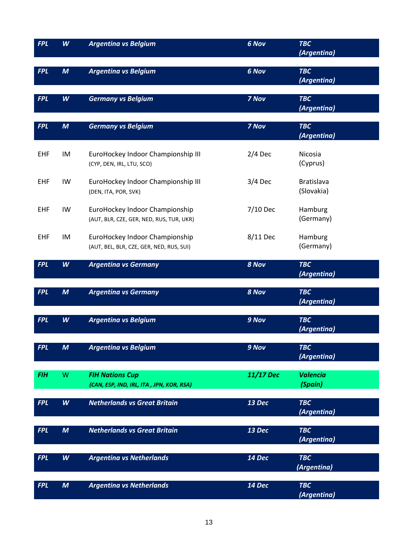| <b>FPL</b> | W                | <b>Argentina vs Belgium</b>                                                | 6 Nov     | <b>TBC</b><br>(Argentina)       |
|------------|------------------|----------------------------------------------------------------------------|-----------|---------------------------------|
| <b>FPL</b> | $\boldsymbol{M}$ | <b>Argentina vs Belgium</b>                                                | 6 Nov     | <b>TBC</b><br>(Argentina)       |
| <b>FPL</b> | W                | <b>Germany vs Belgium</b>                                                  | 7 Nov     | <b>TBC</b><br>(Argentina)       |
| <b>FPL</b> | $\boldsymbol{M}$ | <b>Germany vs Belgium</b>                                                  | 7 Nov     | <b>TBC</b><br>(Argentina)       |
| EHF        | IM               | EuroHockey Indoor Championship III<br>(CYP, DEN, IRL, LTU, SCO)            | $2/4$ Dec | Nicosia<br>(Cyprus)             |
| <b>EHF</b> | IW               | EuroHockey Indoor Championship III<br>(DEN, ITA, POR, SVK)                 | $3/4$ Dec | <b>Bratislava</b><br>(Slovakia) |
| <b>EHF</b> | IW               | EuroHockey Indoor Championship<br>(AUT, BLR, CZE, GER, NED, RUS, TUR, UKR) | 7/10 Dec  | Hamburg<br>(Germany)            |
| EHF        | IM               | EuroHockey Indoor Championship<br>(AUT, BEL, BLR, CZE, GER, NED, RUS, SUI) | 8/11 Dec  | Hamburg<br>(Germany)            |
| <b>FPL</b> | W                | <b>Argentina vs Germany</b>                                                | 8 Nov     | <b>TBC</b><br>(Argentina)       |
| <b>FPL</b> | $\boldsymbol{M}$ | <b>Argentina vs Germany</b>                                                | 8 Nov     | <b>TBC</b><br>(Argentina)       |
| <b>FPL</b> | W                | <b>Argentina vs Belgium</b>                                                | 9 Nov     | <b>TBC</b><br>(Argentina)       |
| <b>FPL</b> | M                | <b>Argentina vs Belgium</b>                                                | 9 Nov     | <b>TBC</b><br>(Argentina)       |
| <b>FIH</b> | W                | <b>FIH Nations Cup</b><br>(CAN, ESP, IND, IRL, ITA, JPN, KOR, RSA)         | 11/17 Dec | <b>Valencia</b><br>(Spain)      |
| <b>FPL</b> | W                | <b>Netherlands vs Great Britain</b>                                        | 13 Dec    | <b>TBC</b><br>(Argentina)       |
| <b>FPL</b> | $\boldsymbol{M}$ | <b>Netherlands vs Great Britain</b>                                        | 13 Dec    | <b>TBC</b><br>(Argentina)       |
| <b>FPL</b> | W                | <b>Argentina vs Netherlands</b>                                            | 14 Dec    | <b>TBC</b><br>(Argentina)       |
| <b>FPL</b> | $\boldsymbol{M}$ | <b>Argentina vs Netherlands</b>                                            | 14 Dec    | <b>TBC</b><br>(Argentina)       |